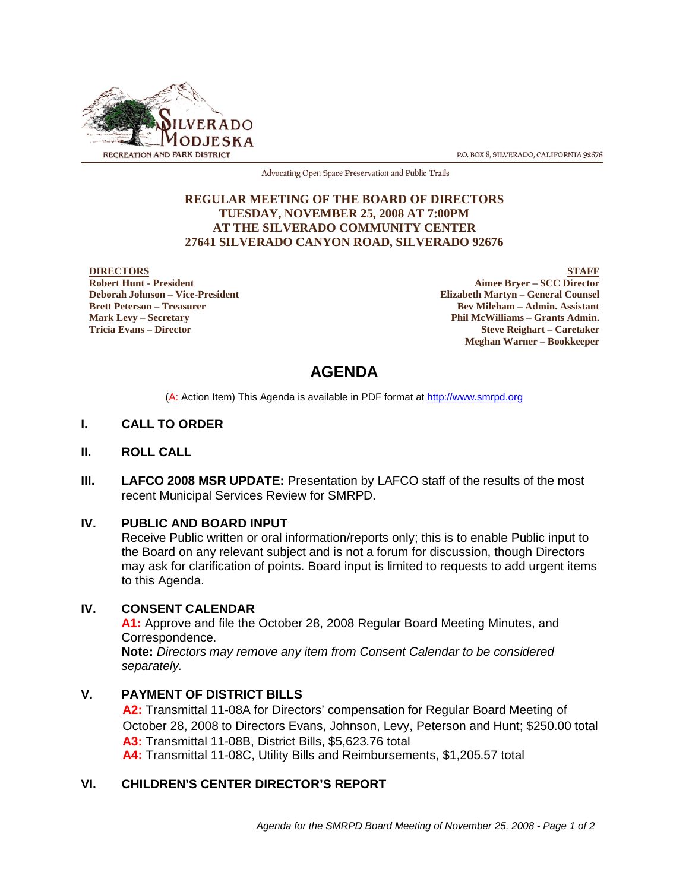

P.O. BOX 8, SILVERADO, CALIFORNIA 92676

Advocating Open Space Preservation and Public Trails

#### **REGULAR MEETING OF THE BOARD OF DIRECTORS TUESDAY, NOVEMBER 25, 2008 AT 7:00PM AT THE SILVERADO COMMUNITY CENTER 27641 SILVERADO CANYON ROAD, SILVERADO 92676**

#### **DIRECTORS**

**Robert Hunt - President Deborah Johnson – Vice-President Brett Peterson – Treasurer Mark Levy – Secretary Tricia Evans – Director**

**STAFF Aimee Bryer – SCC Director Elizabeth Martyn – General Counsel Bev Mileham – Admin. Assistant Phil McWilliams – Grants Admin. Steve Reighart – Caretaker Meghan Warner – Bookkeeper**

## **AGENDA**

(A: Action Item) This Agenda is available in PDF format at http://www.smrpd.org

#### **I. CALL TO ORDER**

- **II. ROLL CALL**
- **III. LAFCO 2008 MSR UPDATE:** Presentation by LAFCO staff of the results of the most recent Municipal Services Review for SMRPD.

#### **IV. PUBLIC AND BOARD INPUT**

Receive Public written or oral information/reports only; this is to enable Public input to the Board on any relevant subject and is not a forum for discussion, though Directors may ask for clarification of points. Board input is limited to requests to add urgent items to this Agenda.

#### **IV. CONSENT CALENDAR**

**A1:** Approve and file the October 28, 2008 Regular Board Meeting Minutes, and Correspondence. **Note:** *Directors may remove any item from Consent Calendar to be considered* 

*separately.*

#### **V. PAYMENT OF DISTRICT BILLS**

**A2:** Transmittal 11-08A for Directors' compensation for Regular Board Meeting of October 28, 2008 to Directors Evans, Johnson, Levy, Peterson and Hunt; \$250.00 total **A3:** Transmittal 11-08B, District Bills, \$5,623.76 total **A4:** Transmittal 11-08C, Utility Bills and Reimbursements, \$1,205.57 total

### **VI. CHILDREN'S CENTER DIRECTOR'S REPORT**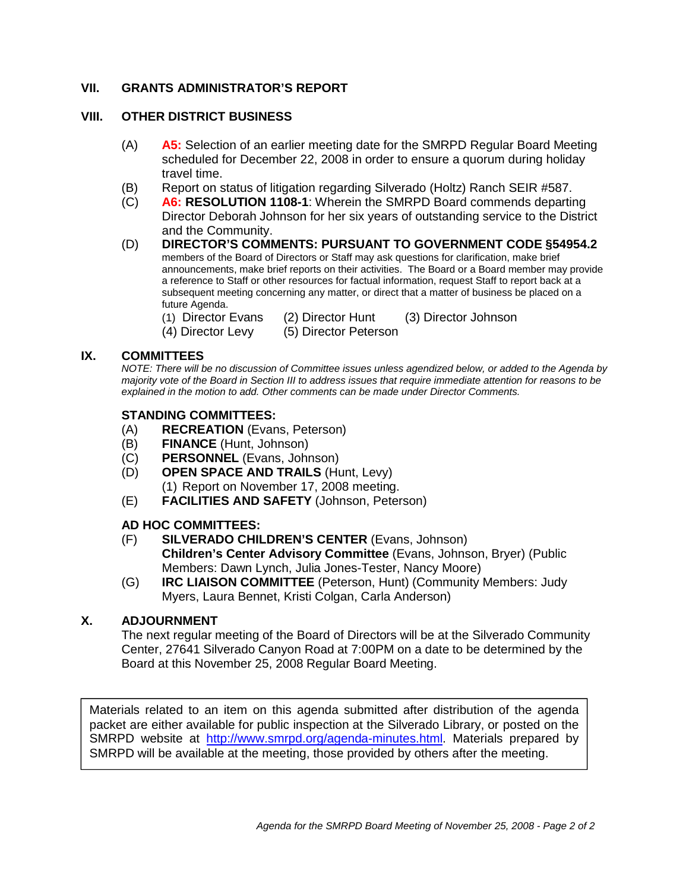### **VII. GRANTS ADMINISTRATOR'S REPORT**

#### **VIII. OTHER DISTRICT BUSINESS**

- (A) **A5:** Selection of an earlier meeting date for the SMRPD Regular Board Meeting scheduled for December 22, 2008 in order to ensure a quorum during holiday travel time.
- (B) Report on status of litigation regarding Silverado (Holtz) Ranch SEIR #587.
- (C) **A6: RESOLUTION 1108-1**: Wherein the SMRPD Board commends departing Director Deborah Johnson for her six years of outstanding service to the District and the Community.
- (D) **DIRECTOR'S COMMENTS: PURSUANT TO GOVERNMENT CODE §54954.2** members of the Board of Directors or Staff may ask questions for clarification, make brief announcements, make brief reports on their activities. The Board or a Board member may provide a reference to Staff or other resources for factual information, request Staff to report back at a subsequent meeting concerning any matter, or direct that a matter of business be placed on a future Agenda.
	- (1) Director Evans (2) Director Hunt (3) Director Johnson
	- (4) Director Levy (5) Director Peterson

#### **IX. COMMITTEES**

*NOTE: There will be no discussion of Committee issues unless agendized below, or added to the Agenda by majority vote of the Board in Section III to address issues that require immediate attention for reasons to be explained in the motion to add. Other comments can be made under Director Comments.*

#### **STANDING COMMITTEES:**

- (A) **RECREATION** (Evans, Peterson)
- (B) **FINANCE** (Hunt, Johnson)
- (C) **PERSONNEL** (Evans, Johnson)
- (D) **OPEN SPACE AND TRAILS** (Hunt, Levy) (1) Report on November 17, 2008 meeting.
- (E) **FACILITIES AND SAFETY** (Johnson, Peterson)

#### **AD HOC COMMITTEES:**

- (F) **SILVERADO CHILDREN'S CENTER** (Evans, Johnson) **Children's Center Advisory Committee** (Evans, Johnson, Bryer) (Public Members: Dawn Lynch, Julia Jones-Tester, Nancy Moore)
- (G) **IRC LIAISON COMMITTEE** (Peterson, Hunt) (Community Members: Judy Myers, Laura Bennet, Kristi Colgan, Carla Anderson)

#### **X. ADJOURNMENT**

The next regular meeting of the Board of Directors will be at the Silverado Community Center, 27641 Silverado Canyon Road at 7:00PM on a date to be determined by the Board at this November 25, 2008 Regular Board Meeting.

Materials related to an item on this agenda submitted after distribution of the agenda packet are either available for public inspection at the Silverado Library, or posted on the SMRPD website at http://www.smrpd.org/agenda-minutes.html. Materials prepared by SMRPD will be available at the meeting, those provided by others after the meeting.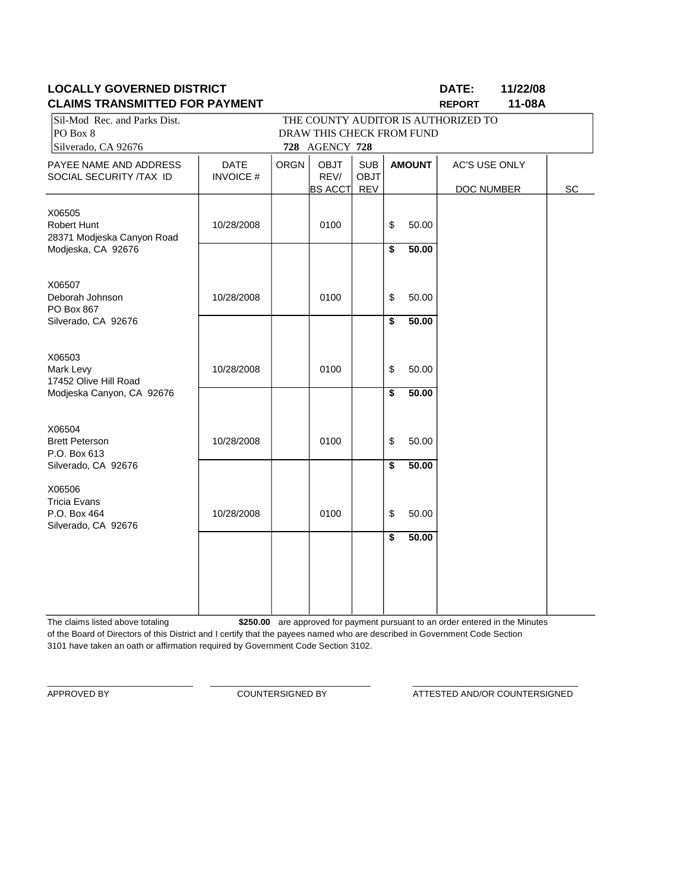### **LOCALLY GOVERNED DISTRICT DATE: 11/22/08 CLAIMS TRANSMITTED FOR PAYMENT REPORT 11-08A**

| ו וויוטראומרו טויוור                                                | , , ,, , , ,,,,,,,,,,     |             |                |             |    |               | ו יוס ובאו           |    |
|---------------------------------------------------------------------|---------------------------|-------------|----------------|-------------|----|---------------|----------------------|----|
| Sil-Mod Rec. and Parks Dist.<br>THE COUNTY AUDITOR IS AUTHORIZED TO |                           |             |                |             |    |               |                      |    |
| PO Box 8                                                            | DRAW THIS CHECK FROM FUND |             |                |             |    |               |                      |    |
| Silverado, CA 92676                                                 |                           |             | 728 AGENCY 728 |             |    |               |                      |    |
| PAYEE NAME AND ADDRESS                                              | <b>DATE</b>               | <b>ORGN</b> | <b>OBJT</b>    | <b>SUB</b>  |    | <b>AMOUNT</b> | <b>AC'S USE ONLY</b> |    |
| SOCIAL SECURITY /TAX ID                                             | <b>INVOICE#</b>           |             | REV/           | <b>OBJT</b> |    |               |                      |    |
|                                                                     |                           |             | <b>BS ACCT</b> | <b>REV</b>  |    |               | DOC NUMBER           | SC |
|                                                                     |                           |             |                |             |    |               |                      |    |
| X06505<br>Robert Hunt                                               | 10/28/2008                |             | 0100           |             |    |               |                      |    |
| 28371 Modjeska Canyon Road                                          |                           |             |                |             | \$ | 50.00         |                      |    |
| Modjeska, CA 92676                                                  |                           |             |                |             | \$ | 50.00         |                      |    |
|                                                                     |                           |             |                |             |    |               |                      |    |
|                                                                     |                           |             |                |             |    |               |                      |    |
| X06507                                                              |                           |             |                |             |    |               |                      |    |
| Deborah Johnson                                                     | 10/28/2008                |             | 0100           |             | \$ | 50.00         |                      |    |
| PO Box 867                                                          |                           |             |                |             |    |               |                      |    |
| Silverado, CA 92676                                                 |                           |             |                |             | \$ | 50.00         |                      |    |
|                                                                     |                           |             |                |             |    |               |                      |    |
| X06503                                                              |                           |             |                |             |    |               |                      |    |
| Mark Levy                                                           | 10/28/2008                |             | 0100           |             | \$ | 50.00         |                      |    |
| 17452 Olive Hill Road                                               |                           |             |                |             |    |               |                      |    |
| Modjeska Canyon, CA 92676                                           |                           |             |                |             | \$ | 50.00         |                      |    |
|                                                                     |                           |             |                |             |    |               |                      |    |
|                                                                     |                           |             |                |             |    |               |                      |    |
| X06504<br><b>Brett Peterson</b>                                     | 10/28/2008                |             | 0100           |             | \$ | 50.00         |                      |    |
| P.O. Box 613                                                        |                           |             |                |             |    |               |                      |    |
| Silverado, CA 92676                                                 |                           |             |                |             | \$ | 50.00         |                      |    |
|                                                                     |                           |             |                |             |    |               |                      |    |
| X06506                                                              |                           |             |                |             |    |               |                      |    |
| <b>Tricia Evans</b>                                                 |                           |             |                |             |    |               |                      |    |
| P.O. Box 464                                                        | 10/28/2008                |             | 0100           |             | \$ | 50.00         |                      |    |
| Silverado, CA 92676                                                 |                           |             |                |             |    |               |                      |    |
|                                                                     |                           |             |                |             | \$ | 50.00         |                      |    |
|                                                                     |                           |             |                |             |    |               |                      |    |
|                                                                     |                           |             |                |             |    |               |                      |    |
|                                                                     |                           |             |                |             |    |               |                      |    |
|                                                                     |                           |             |                |             |    |               |                      |    |
|                                                                     |                           |             |                |             |    |               |                      |    |

The claims listed above totaling **\$250.00** are approved for payment pursuant to an order entered in the Minutes of the Board of Directors of this District and I certify that the payees named who are described in Government Code Section 3101 have taken an oath or affirmation required by Government Code Section 3102.

\_\_\_\_\_\_\_\_\_\_\_\_\_\_\_\_\_\_\_\_\_\_\_\_\_\_\_\_\_\_ \_\_\_\_\_\_\_\_\_\_\_\_\_\_\_\_\_\_\_\_\_\_\_\_\_\_\_\_\_\_\_\_\_ \_\_\_\_\_\_\_\_\_\_\_\_\_\_\_\_\_\_\_\_\_\_\_\_\_\_\_\_\_\_\_\_\_\_

APPROVED BY COUNTERSIGNED BY ATTESTED AND/OR COUNTERSIGNED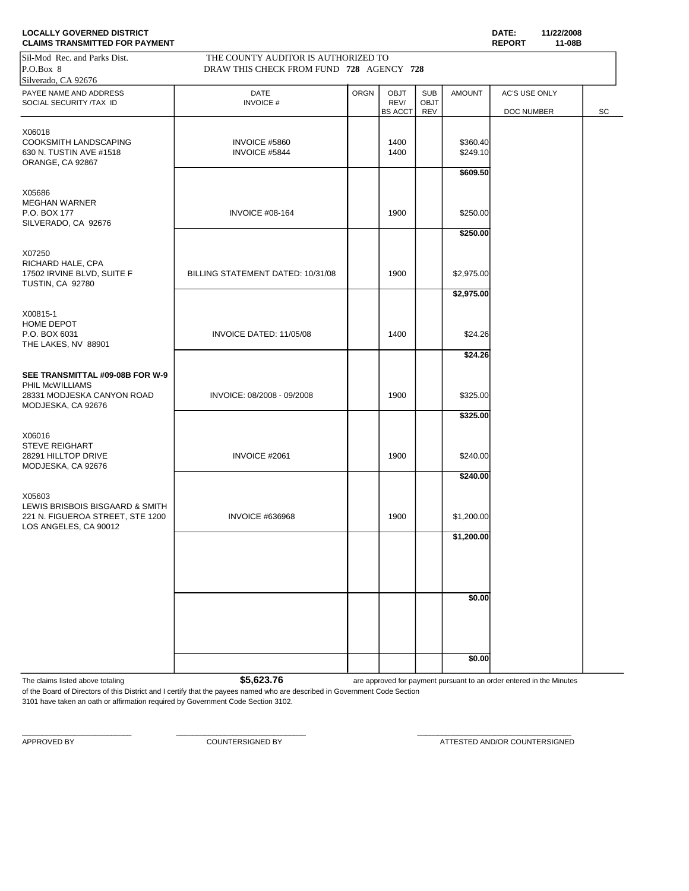| <b>LOCALLY GOVERNED DISTRICT</b><br><b>CLAIMS TRANSMITTED FOR PAYMENT</b>                              |                                                                                 |             |                                       |                           |                                  | DATE:<br><b>REPORT</b>      | 11/22/2008<br>11-08B |    |
|--------------------------------------------------------------------------------------------------------|---------------------------------------------------------------------------------|-------------|---------------------------------------|---------------------------|----------------------------------|-----------------------------|----------------------|----|
| Sil-Mod Rec. and Parks Dist.<br>P.O.Box 8<br>Silverado, CA 92676                                       | THE COUNTY AUDITOR IS AUTHORIZED TO<br>DRAW THIS CHECK FROM FUND 728 AGENCY 728 |             |                                       |                           |                                  |                             |                      |    |
| PAYEE NAME AND ADDRESS<br>SOCIAL SECURITY /TAX ID                                                      | <b>DATE</b><br><b>INVOICE#</b>                                                  | <b>ORGN</b> | <b>OBJT</b><br>REV/<br><b>BS ACCT</b> | <b>SUB</b><br>OBJT<br>REV | <b>AMOUNT</b>                    | AC'S USE ONLY<br>DOC NUMBER |                      | SC |
| X06018<br>COOKSMITH LANDSCAPING<br>630 N. TUSTIN AVE #1518<br>ORANGE, CA 92867                         | INVOICE #5860<br>INVOICE #5844                                                  |             | 1400<br>1400                          |                           | \$360.40<br>\$249.10<br>\$609.50 |                             |                      |    |
| X05686<br><b>MEGHAN WARNER</b><br>P.O. BOX 177<br>SILVERADO, CA 92676                                  | <b>INVOICE #08-164</b>                                                          |             | 1900                                  |                           | \$250.00<br>\$250.00             |                             |                      |    |
| X07250<br>RICHARD HALE, CPA<br>17502 IRVINE BLVD, SUITE F<br><b>TUSTIN, CA 92780</b>                   | BILLING STATEMENT DATED: 10/31/08                                               |             | 1900                                  |                           | \$2,975.00<br>\$2,975.00         |                             |                      |    |
| X00815-1<br>HOME DEPOT<br>P.O. BOX 6031<br>THE LAKES, NV 88901                                         | INVOICE DATED: 11/05/08                                                         |             | 1400                                  |                           | \$24.26                          |                             |                      |    |
| SEE TRANSMITTAL #09-08B FOR W-9<br>PHIL McWILLIAMS<br>28331 MODJESKA CANYON ROAD<br>MODJESKA, CA 92676 | INVOICE: 08/2008 - 09/2008                                                      |             | 1900                                  |                           | \$24.26<br>\$325.00              |                             |                      |    |
| X06016<br><b>STEVE REIGHART</b><br>28291 HILLTOP DRIVE<br>MODJESKA, CA 92676                           | INVOICE #2061                                                                   |             | 1900                                  |                           | \$325.00<br>\$240.00             |                             |                      |    |
| X05603<br>LEWIS BRISBOIS BISGAARD & SMITH<br>221 N. FIGUEROA STREET, STE 1200                          | <b>INVOICE #636968</b>                                                          |             | 1900                                  |                           | \$240.00<br>\$1,200.00           |                             |                      |    |
| LOS ANGELES, CA 90012                                                                                  |                                                                                 |             |                                       |                           | \$1,200.00                       |                             |                      |    |
|                                                                                                        |                                                                                 |             |                                       |                           | \$0.00                           |                             |                      |    |
|                                                                                                        |                                                                                 |             |                                       |                           | \$0.00                           |                             |                      |    |
|                                                                                                        |                                                                                 |             |                                       |                           |                                  |                             |                      |    |

The claims listed above totaling **1998 are approved for payment pursuant to an order entered in the Minutes** 

of the Board of Directors of this District and I certify that the payees named who are described in Government Code Section 3101 have taken an oath or affirmation required by Government Code Section 3102.

\_\_\_\_\_\_\_\_\_\_\_\_\_\_\_\_\_\_\_\_\_\_\_\_\_\_\_ \_\_\_\_\_\_\_\_\_\_\_\_\_\_\_\_\_\_\_\_\_\_\_\_\_\_\_\_\_\_\_\_ \_\_\_\_\_\_\_\_\_\_\_\_\_\_\_\_\_\_\_\_\_\_\_\_\_\_\_\_\_\_\_\_\_\_\_\_\_\_

APPROVED BY **COUNTERSIGNED BY COUNTERSIGNED BY ATTESTED AND/OR COUNTERSIGNED**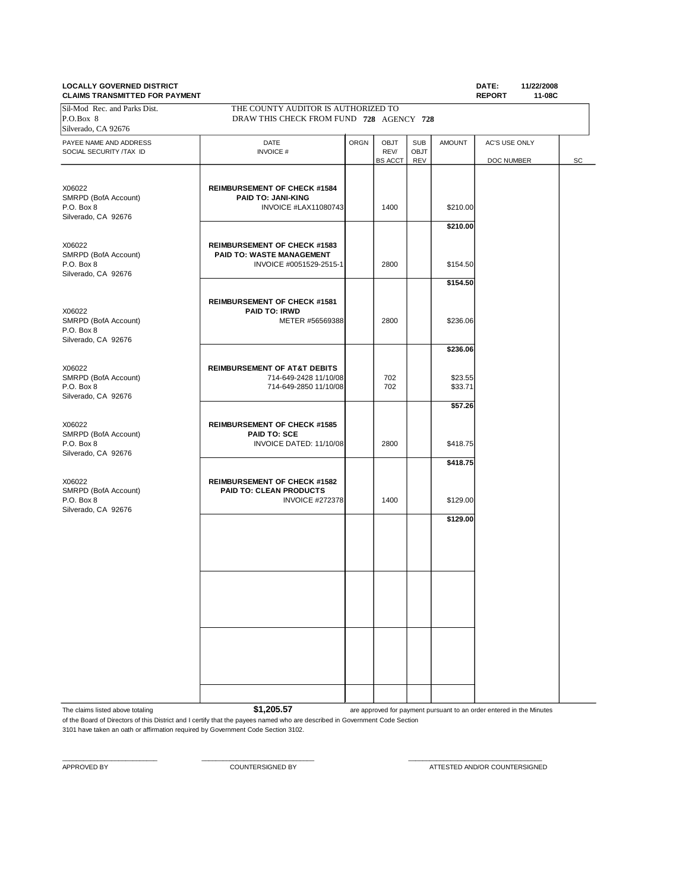# **LOCALLY GOVERNED DISTRICT**

| DATE:  | 11/22/2008 |
|--------|------------|
| ------ | $\cdots$   |

| <b>CLAIMS TRANSMITTED FOR PAYMENT</b>                               |                                                                                             |             |                                |                                  |                      | <b>REPORT</b>               | 11-08C |
|---------------------------------------------------------------------|---------------------------------------------------------------------------------------------|-------------|--------------------------------|----------------------------------|----------------------|-----------------------------|--------|
| Sil-Mod Rec. and Parks Dist.<br>P.O.Box 8<br>Silverado, CA 92676    | THE COUNTY AUDITOR IS AUTHORIZED TO<br>DRAW THIS CHECK FROM FUND 728 AGENCY 728             |             |                                |                                  |                      |                             |        |
| PAYEE NAME AND ADDRESS<br>SOCIAL SECURITY /TAX ID                   | DATE<br><b>INVOICE#</b>                                                                     | <b>ORGN</b> | OBJT<br>REV/<br><b>BS ACCT</b> | <b>SUB</b><br><b>OBJT</b><br>REV | <b>AMOUNT</b>        | AC'S USE ONLY<br>DOC NUMBER | SC     |
| X06022<br>SMRPD (BofA Account)<br>P.O. Box 8<br>Silverado, CA 92676 | <b>REIMBURSEMENT OF CHECK #1584</b><br><b>PAID TO: JANI-KING</b><br>INVOICE #LAX11080743    |             | 1400                           |                                  | \$210.00             |                             |        |
| X06022<br>SMRPD (BofA Account)<br>P.O. Box 8                        | <b>REIMBURSEMENT OF CHECK #1583</b><br>PAID TO: WASTE MANAGEMENT<br>INVOICE #0051529-2515-1 |             | 2800                           |                                  | \$210.00<br>\$154.50 |                             |        |
| Silverado, CA 92676                                                 |                                                                                             |             |                                |                                  | \$154.50             |                             |        |
| X06022<br>SMRPD (BofA Account)<br>P.O. Box 8<br>Silverado, CA 92676 | <b>REIMBURSEMENT OF CHECK #1581</b><br><b>PAID TO: IRWD</b><br>METER #56569388              |             | 2800                           |                                  | \$236.06             |                             |        |
|                                                                     |                                                                                             |             |                                |                                  | \$236.06             |                             |        |
| X06022<br>SMRPD (BofA Account)<br>P.O. Box 8<br>Silverado, CA 92676 | <b>REIMBURSEMENT OF AT&amp;T DEBITS</b><br>714-649-2428 11/10/08<br>714-649-2850 11/10/08   |             | 702<br>702                     |                                  | \$23.55<br>\$33.71   |                             |        |
| X06022<br>SMRPD (BofA Account)<br>P.O. Box 8                        | <b>REIMBURSEMENT OF CHECK #1585</b><br>PAID TO: SCE<br>INVOICE DATED: 11/10/08              |             | 2800                           |                                  | \$57.26<br>\$418.75  |                             |        |
| Silverado, CA 92676                                                 |                                                                                             |             |                                |                                  | \$418.75             |                             |        |
| X06022<br>SMRPD (BofA Account)<br>P.O. Box 8<br>Silverado, CA 92676 | <b>REIMBURSEMENT OF CHECK #1582</b><br>PAID TO: CLEAN PRODUCTS<br><b>INVOICE #272378</b>    |             | 1400                           |                                  | \$129.00             |                             |        |
|                                                                     |                                                                                             |             |                                |                                  | \$129.00             |                             |        |
|                                                                     |                                                                                             |             |                                |                                  |                      |                             |        |
|                                                                     |                                                                                             |             |                                |                                  |                      |                             |        |
|                                                                     |                                                                                             |             |                                |                                  |                      |                             |        |
|                                                                     |                                                                                             |             |                                |                                  |                      |                             |        |

The claims listed above totaling **\$1,205.57 are approved for payment pursuant to an order entered in the Minutes** of the Board of Directors of this District and I certify that the payees named who are described in Government Code Section

\_\_\_\_\_\_\_\_\_\_\_\_\_\_\_\_\_\_\_\_\_\_\_\_\_\_\_ \_\_\_\_\_\_\_\_\_\_\_\_\_\_\_\_\_\_\_\_\_\_\_\_\_\_\_\_\_\_\_\_ \_\_\_\_\_\_\_\_\_\_\_\_\_\_\_\_\_\_\_\_\_\_\_\_\_\_\_\_\_\_\_\_\_\_\_\_\_\_

3101 have taken an oath or affirmation required by Government Code Section 3102.

APPROVED BY COUNTERSIGNED BY ATTESTED AND/OR COUNTERSIGNED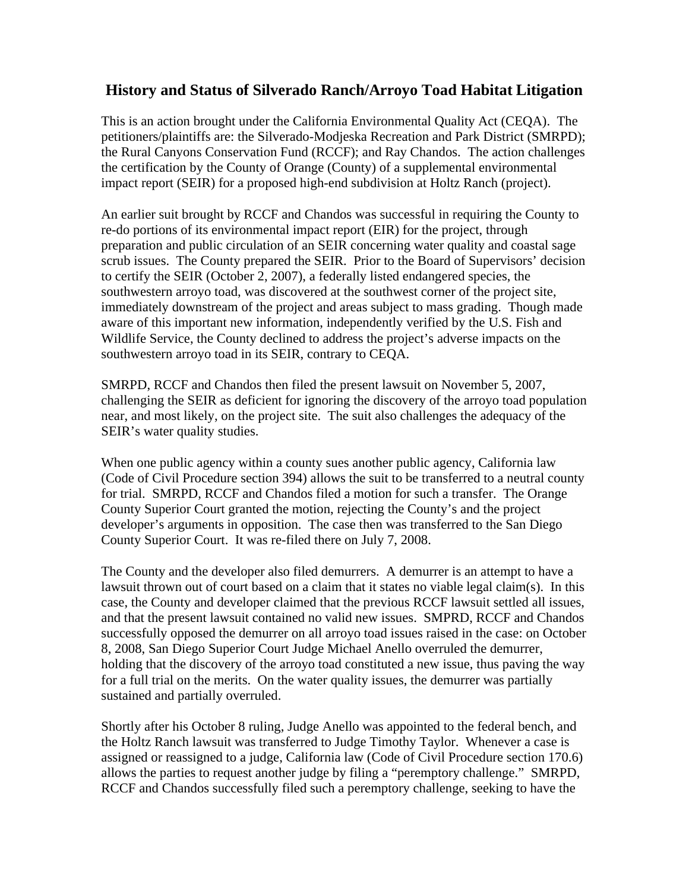## **History and Status of Silverado Ranch/Arroyo Toad Habitat Litigation**

This is an action brought under the California Environmental Quality Act (CEQA). The petitioners/plaintiffs are: the Silverado-Modjeska Recreation and Park District (SMRPD); the Rural Canyons Conservation Fund (RCCF); and Ray Chandos. The action challenges the certification by the County of Orange (County) of a supplemental environmental impact report (SEIR) for a proposed high-end subdivision at Holtz Ranch (project).

An earlier suit brought by RCCF and Chandos was successful in requiring the County to re-do portions of its environmental impact report (EIR) for the project, through preparation and public circulation of an SEIR concerning water quality and coastal sage scrub issues. The County prepared the SEIR. Prior to the Board of Supervisors' decision to certify the SEIR (October 2, 2007), a federally listed endangered species, the southwestern arroyo toad, was discovered at the southwest corner of the project site, immediately downstream of the project and areas subject to mass grading. Though made aware of this important new information, independently verified by the U.S. Fish and Wildlife Service, the County declined to address the project's adverse impacts on the southwestern arroyo toad in its SEIR, contrary to CEQA.

SMRPD, RCCF and Chandos then filed the present lawsuit on November 5, 2007, challenging the SEIR as deficient for ignoring the discovery of the arroyo toad population near, and most likely, on the project site. The suit also challenges the adequacy of the SEIR's water quality studies.

When one public agency within a county sues another public agency, California law (Code of Civil Procedure section 394) allows the suit to be transferred to a neutral county for trial. SMRPD, RCCF and Chandos filed a motion for such a transfer. The Orange County Superior Court granted the motion, rejecting the County's and the project developer's arguments in opposition. The case then was transferred to the San Diego County Superior Court. It was re-filed there on July 7, 2008.

The County and the developer also filed demurrers. A demurrer is an attempt to have a lawsuit thrown out of court based on a claim that it states no viable legal claim(s). In this case, the County and developer claimed that the previous RCCF lawsuit settled all issues, and that the present lawsuit contained no valid new issues. SMPRD, RCCF and Chandos successfully opposed the demurrer on all arroyo toad issues raised in the case: on October 8, 2008, San Diego Superior Court Judge Michael Anello overruled the demurrer, holding that the discovery of the arroyo toad constituted a new issue, thus paving the way for a full trial on the merits. On the water quality issues, the demurrer was partially sustained and partially overruled.

Shortly after his October 8 ruling, Judge Anello was appointed to the federal bench, and the Holtz Ranch lawsuit was transferred to Judge Timothy Taylor. Whenever a case is assigned or reassigned to a judge, California law (Code of Civil Procedure section 170.6) allows the parties to request another judge by filing a "peremptory challenge." SMRPD, RCCF and Chandos successfully filed such a peremptory challenge, seeking to have the